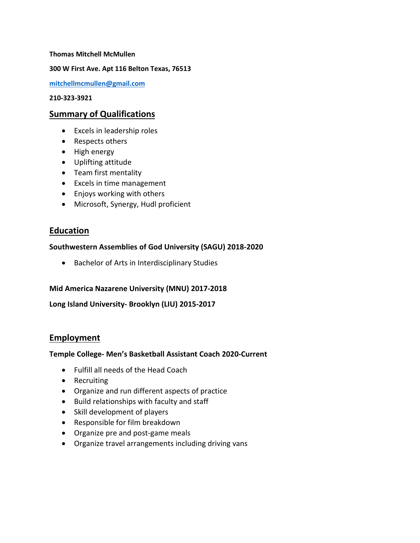**Thomas Mitchell McMullen**

**300 W First Ave. Apt 116 Belton Texas, 76513**

**[mitchellmcmullen@gmail.com](mailto:mitchellmcmullen@gmail.com)**

**210-323-3921**

## **Summary of Qualifications**

- Excels in leadership roles
- Respects others
- High energy
- Uplifting attitude
- Team first mentality
- Excels in time management
- Enjoys working with others
- Microsoft, Synergy, Hudl proficient

# **Education**

#### **Southwestern Assemblies of God University (SAGU) 2018-2020**

• Bachelor of Arts in Interdisciplinary Studies

#### **Mid America Nazarene University (MNU) 2017-2018**

**Long Island University- Brooklyn (LIU) 2015-2017**

## **Employment**

#### **Temple College- Men's Basketball Assistant Coach 2020-Current**

- Fulfill all needs of the Head Coach
- Recruiting
- Organize and run different aspects of practice
- Build relationships with faculty and staff
- Skill development of players
- Responsible for film breakdown
- Organize pre and post-game meals
- Organize travel arrangements including driving vans